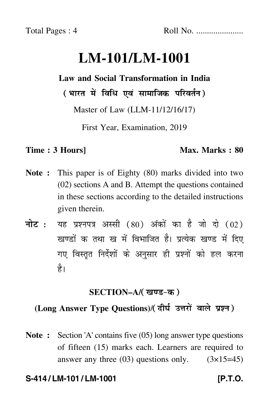# **LM-101/LM-1001**

# **Law and Social Transformation in India**

( भारत में विधि एवं सामाजिक परिवर्तन )

Master of Law (LLM-11/12/16/17)

First Year, Examination, 2019

### **Time : 3 Hours]** Max. Marks : 80

- **Note :** This paper is of Eighty (80) marks divided into two (02) sections A and B. Attempt the questions contained in these sections according to the detailed instructions given therein.
- नोट : यह प्रश्नपत्र अस्सी (80) अंकों का है जो दो (02) खण्डों क तथा ख में विभाजित है। प्रत्येक खण्ड में दिए गए विस्तृत निर्देशों के अनुसार ही प्रश्नों को हल करन<mark>ा</mark> है।

### **SECTION–A/**

# **(Long Answer Type Questions)**/

**Note :** Section 'A' contains five (05) long answer type questions of fifteen (15) marks each. Learners are required to answer any three  $(03)$  questions only.  $(3\times15=45)$ 

# **S-414 / LM-101 / LM-1001 [P.T.O.**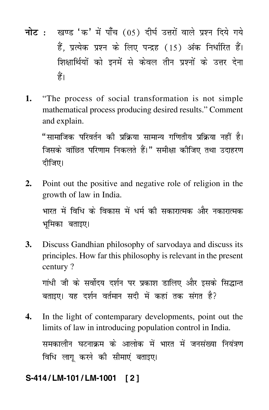- नोट : खण्ड 'क' में पाँच (05) दीर्घ उत्तरों वाले प्रश्न दिये गये हैं, प्रत्येक प्रश्न के लिए पन्द्रह (15) अंक निर्धारित हैं। शिक्षार्थियों को इनमें से केवल तीन प्रश्नों के उत्तर देना हैं।
- "The process of social transformation is not simple 1. mathematical process producing desired results." Comment and explain.

"सामाजिक परिवर्तन की प्रक्रिया सामान्य गणितीय प्रक्रिया नहीं है। जिसके वांछित परिणाम निकलते हैं।" समीक्षा कीजिए तथा उदाहरण दीजिए।

 $2.$ Point out the positive and negative role of religion in the growth of law in India.

भारत में विधि के विकास में धर्म की सकारात्मक और नकारात्मक भमिका बताइए।

3. Discuss Gandhian philosophy of sarvodaya and discuss its principles. How far this philosophy is relevant in the present century?

गांधी जी के सर्वोदय दर्शन पर प्रकाश डालिए और इसके सिद्धान्त बताइए। यह दर्शन वर्तमान सदी में कहां तक संगत है?

 $\overline{4}$ . In the light of contemparary developments, point out the limits of law in introducing population control in India. समकालीन घटनाक्रम के आलोक में भारत में जनसंख्या नियंत्रण विधि लागू करने की सीमाएं बताइए।

#### S-414/LM-101/LM-1001  $121$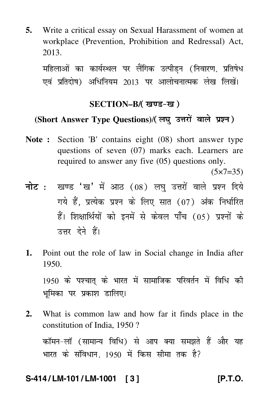**5.** Write a critical essay on Sexual Harassment of women at workplace (Prevention, Prohibition and Redressal) Act, 2013.

महिलाओं का कार्यस्थल पर लीगक उत्पांडन (निवारण, प्रतिषेध एव प्रतिदोष) अधिनियम 2013 पर आलोचनात्मक लेख लिखे<mark>।</mark>

### **SECTION–B/**

## (Short Answer Type Questions)/(लघ उत्तरों वाले प्रश्न)

- **Note :** Section 'B' contains eight (08) short answer type questions of seven (07) marks each. Learners are required to answer any five (05) questions only.  $(5 \times 7 = 35)$
- <mark>नोट</mark> : खण्ड 'ख' में आठ (08) लघु उत्तरों वाले प्रश्न दिये गये हैं, प्रत्येक प्रश्न के लिए सात (07) अंक निर्धारित हैं। शिक्षार्थियों को इनमें से केवल पाँच (05) प्रश्नों के उत्तर देने हैं।
- **1.** Point out the role of law in Social change in India after 1950.

1950 के पश्चात् के भारत में सामाजिक परिवर्तन में विधि को भूमिका पर प्रकाश डालिए।

**2.** What is common law and how far it finds place in the constitution of India, 1950 ? कॉमन-लॉ (सामान्य विधि) से आप क्या समझते हैं और यह भारत के सोवधान, 1950 में किस सोमा तक हैं?

### **S-414 / LM-101 / LM-1001 [ 3 ] [P.T.O.**